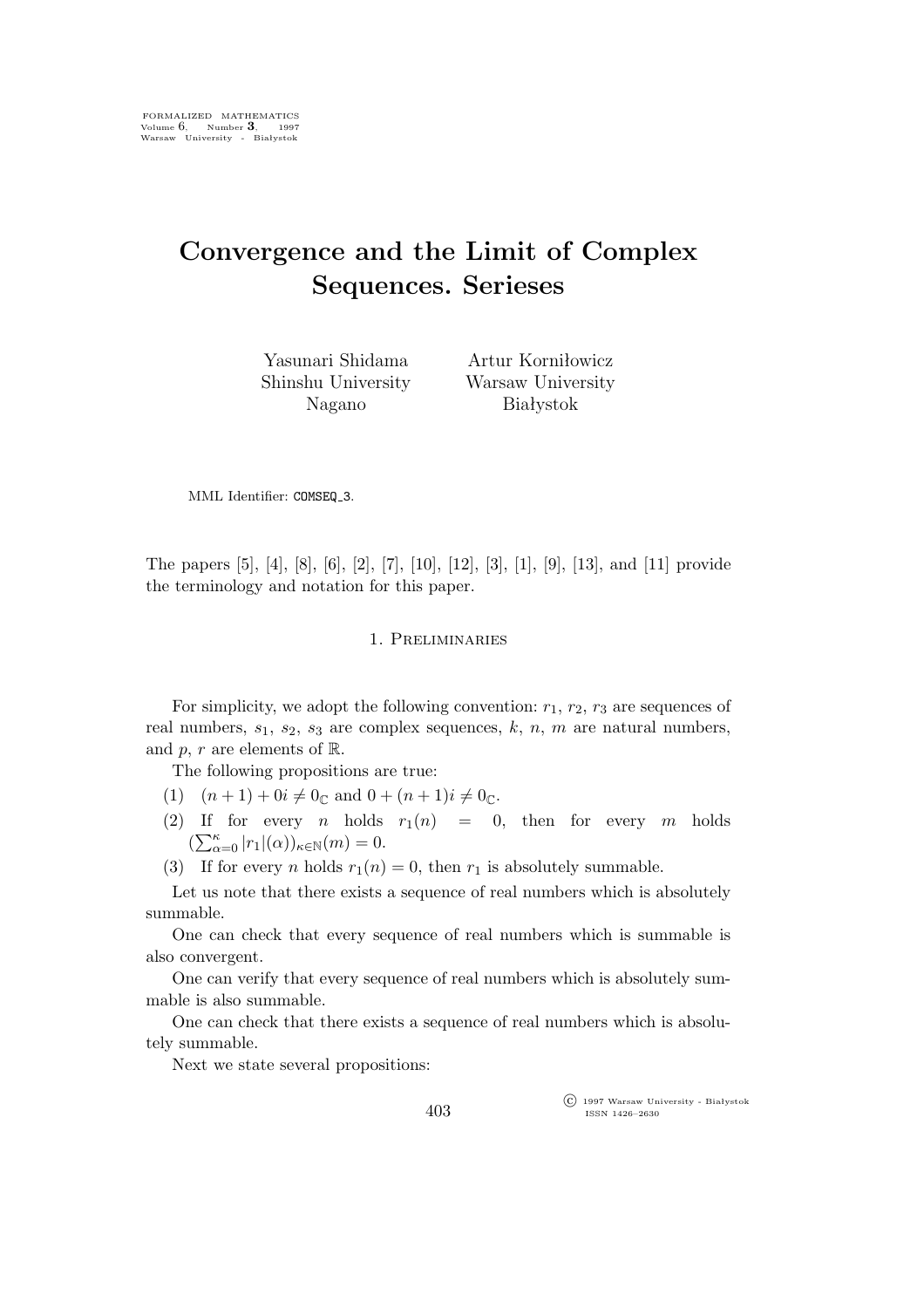# **Convergence and the Limit of Complex Sequences. Serieses**

Yasunari Shidama Shinshu University Nagano

Artur Korniłowicz Warsaw University Białystok

MML Identifier: COMSEQ 3.

The papers [5], [4], [8], [6], [2], [7], [10], [12], [3], [1], [9], [13], and [11] provide the terminology and notation for this paper.

## 1. Preliminaries

For simplicity, we adopt the following convention:  $r_1$ ,  $r_2$ ,  $r_3$  are sequences of real numbers,  $s_1$ ,  $s_2$ ,  $s_3$  are complex sequences, k, n, m are natural numbers, and p, r are elements of  $\mathbb{R}$ .

The following propositions are true:

- (1)  $(n+1) + 0i \neq 0_{\mathbb{C}}$  and  $0 + (n+1)i \neq 0_{\mathbb{C}}$ .
- (2) If for every *n* holds  $r_1(n) = 0$ , then for every *m* holds  $\left(\sum_{\alpha=0}^{\kappa} |r_1|(\alpha)\right)_{\kappa \in \mathbb{N}}(m) = 0.$
- (3) If for every *n* holds  $r_1(n) = 0$ , then  $r_1$  is absolutely summable.

Let us note that there exists a sequence of real numbers which is absolutely summable.

One can check that every sequence of real numbers which is summable is also convergent.

One can verify that every sequence of real numbers which is absolutely summable is also summable.

One can check that there exists a sequence of real numbers which is absolutely summable.

Next we state several propositions:

°c 1997 Warsaw University - Białystok ISSN 1426–2630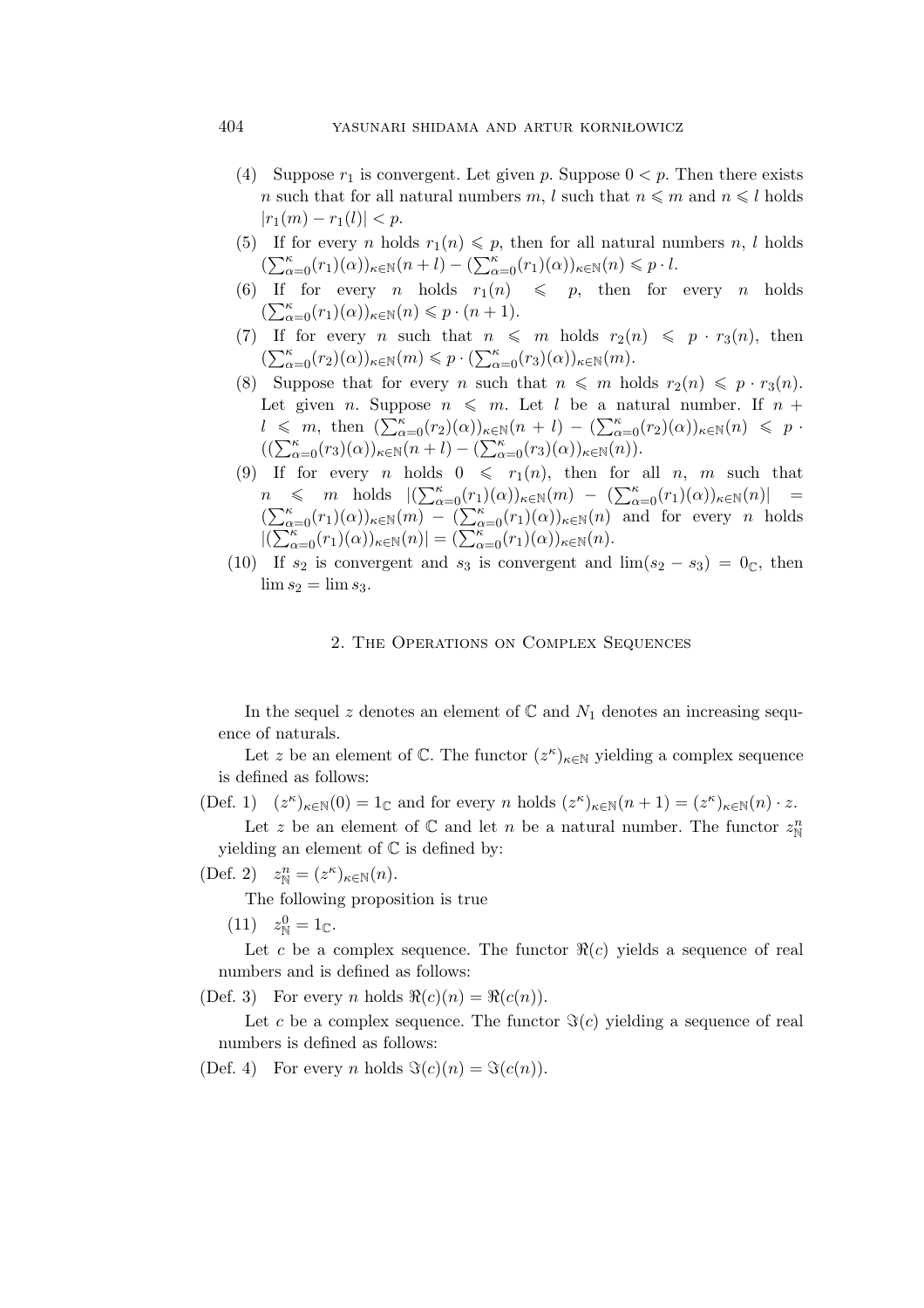# 404 yasunari shidama and artur korniłowicz

- (4) Suppose  $r_1$  is convergent. Let given p. Suppose  $0 < p$ . Then there exists n such that for all natural numbers m, l such that  $n \leq m$  and  $n \leq l$  holds  $|r_1(m) - r_1(l)| < p.$
- (5) If for every *n* holds  $r_1(n) \leq p$ , then for all natural numbers *n*, *l* holds  $(\sum_{\alpha=0}^{\kappa}(r_1)(\alpha))_{\kappa\in\mathbb{N}}(n+l)-(\sum_{\alpha=0}^{\kappa}(r_1)(\alpha))_{\kappa\in\mathbb{N}}(n)\leqslant p\cdot l.$
- (6) If for every *n* holds  $r_1(n) \leqslant p$ , then for every *n* holds  $\left(\sum_{\alpha=0}^{\kappa}(r_1)(\alpha)\right)_{\kappa\in\mathbb{N}}(n)\leqslant p\cdot (n+1).$
- (7) If for every *n* such that  $n \leq m$  holds  $r_2(n) \leq p \cdot r_3(n)$ , then  $(\sum_{\alpha=0}^{\kappa} (r_2)(\alpha))_{\kappa \in \mathbb{N}}(m) \leq p \cdot (\sum_{\alpha=0}^{\kappa} (r_3)(\alpha))_{\kappa \in \mathbb{N}}(m).$
- (8) Suppose that for every *n* such that  $n \leq m$  holds  $r_2(n) \leq p \cdot r_3(n)$ . Let given *n*. Suppose  $n \leq m$ . Let *l* be a natural number. If  $n +$  $l \leq m$ , then  $\left(\sum_{\alpha=0}^{K} (r_2)(\alpha)\right)_{\kappa \in \mathbb{N}} (n + l) - \left(\sum_{\alpha=0}^{K} (r_2)(\alpha)\right)_{\kappa \in \mathbb{N}} (n) \leq p$  $((\sum_{\alpha=0}^{\kappa}(r_3)(\alpha))_{\kappa\in\mathbb{N}}(n+l)-(\sum_{\alpha=0}^{\kappa}(r_3)(\alpha))_{\kappa\in\mathbb{N}}(n)).$
- (9) If for every *n* holds  $0 \leq r_1(n)$ , then for all *n*, *m* such that  $n \leq m$  holds  $|(\sum_{\alpha=0}^{\kappa}(r_1)(\alpha))_{\kappa \in \mathbb{N}}(m) - (\sum_{\alpha=0}^{\kappa}(r_1)(\alpha))_{\kappa \in \mathbb{N}}(n)| =$  $(\sum_{\alpha=0}^{\kappa}(r_1)(\alpha))_{\kappa\in\mathbb{N}}(m) - (\sum_{\alpha=0}^{\kappa}(r_1)(\alpha))_{\kappa\in\mathbb{N}}(n)$  and for every *n* holds  $|(\sum_{\alpha=0}^{K} (r_1)(\alpha))_{\kappa \in \mathbb{N}}(n)| = (\sum_{\alpha=0}^{K} (r_1)(\alpha))_{\kappa \in \mathbb{N}}(n).$
- (10) If  $s_2$  is convergent and  $s_3$  is convergent and  $\lim(s_2 s_3) = 0$ <sub>C</sub>, then  $\lim s_2 = \lim s_3.$

### 2. The Operations on Complex Sequences

In the sequel z denotes an element of  $\mathbb C$  and  $N_1$  denotes an increasing sequence of naturals.

Let z be an element of  $\mathbb{C}$ . The functor  $(z^{\kappa})_{\kappa \in \mathbb{N}}$  yielding a complex sequence is defined as follows:

 $(Def. 1)$   $(z^{\kappa})_{\kappa \in \mathbb{N}}(0) = 1_{\mathbb{C}}$  and for every *n* holds  $(z^{\kappa})_{\kappa \in \mathbb{N}}(n+1) = (z^{\kappa})_{\kappa \in \mathbb{N}}(n) \cdot z$ .

Let z be an element of  $\mathbb C$  and let n be a natural number. The functor  $z_N^n$ yielding an element of  $\mathbb C$  is defined by:

(Def. 2)  $z_N^n = (z^\kappa)_{\kappa \in \mathbb{N}}(n)$ .

The following proposition is true

(11)  $z_N^0 = 1_{\mathbb{C}}$ .

Let c be a complex sequence. The functor  $\Re(c)$  yields a sequence of real numbers and is defined as follows:

(Def. 3) For every n holds  $\Re(c)(n) = \Re(c(n)).$ 

Let c be a complex sequence. The functor  $\Im(c)$  yielding a sequence of real numbers is defined as follows:

(Def. 4) For every *n* holds  $\Im(c)(n) = \Im(c(n))$ .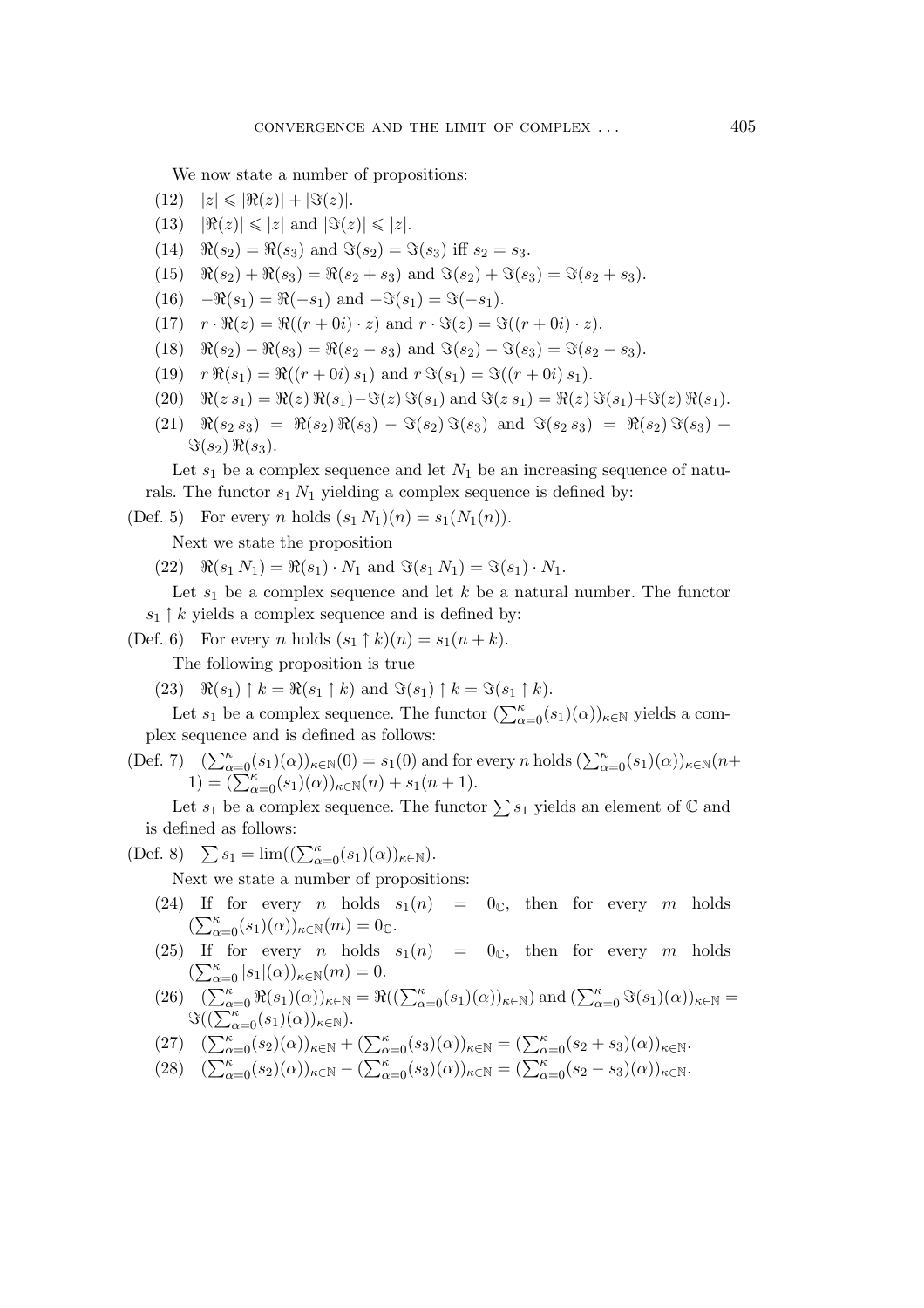We now state a number of propositions:

- $(12)$   $|z| \leq |\Re(z)| + |\Im(z)|.$
- $(13)$   $|\Re(z)| \leq |z|$  and  $|\Im(z)| \leq |z|$ .
- $(14)$   $\Re(s_2) = \Re(s_3)$  and  $\Im(s_2) = \Im(s_3)$  iff  $s_2 = s_3$ .
- $(15)$   $\Re(s_2) + \Re(s_3) = \Re(s_2 + s_3)$  and  $\Im(s_2) + \Im(s_3) = \Im(s_2 + s_3).$
- (16)  $-\Re(s_1) = \Re(-s_1)$  and  $-\Im(s_1) = \Im(-s_1)$ .
- (17)  $r \cdot \Re(z) = \Re((r+0i) \cdot z)$  and  $r \cdot \Im(z) = \Im((r+0i) \cdot z)$ .
- $(18)$   $\Re(s_2) \Re(s_3) = \Re(s_2 s_3)$  and  $\Im(s_2) \Im(s_3) = \Im(s_2 s_3).$
- $r \Re(s_1) = \Re((r+0i) s_1)$  and  $r \Im(s_1) = \Im((r+0i) s_1)$ .
- (20)  $\mathcal{R}(z \ s_1) = \mathcal{R}(z) \mathcal{R}(s_1) \mathcal{F}(z) \mathcal{F}(s_1)$  and  $\mathcal{F}(z \ s_1) = \mathcal{R}(z) \mathcal{F}(s_1) + \mathcal{F}(z) \mathcal{R}(s_1)$ .
- $(21)$   $\Re(s_2 s_3) = \Re(s_2) \Re(s_3) \Im(s_2) \Im(s_3)$  and  $\Im(s_2 s_3) = \Re(s_2) \Im(s_3) +$  $\Im(s_2) \Re(s_3)$ .

Let  $s_1$  be a complex sequence and let  $N_1$  be an increasing sequence of naturals. The functor  $s_1 N_1$  yielding a complex sequence is defined by:

(Def. 5) For every *n* holds  $(s_1 N_1)(n) = s_1(N_1(n)).$ 

Next we state the proposition

 $(22)$   $\Re(s_1 N_1) = \Re(s_1) \cdot N_1$  and  $\Im(s_1 N_1) = \Im(s_1) \cdot N_1$ .

Let  $s_1$  be a complex sequence and let k be a natural number. The functor  $s_1 \uparrow k$  yields a complex sequence and is defined by:

(Def. 6) For every n holds  $(s_1 \uparrow k)(n) = s_1(n+k)$ .

The following proposition is true

(23)  $\Re(s_1) \uparrow k = \Re(s_1 \uparrow k)$  and  $\Im(s_1) \uparrow k = \Im(s_1 \uparrow k)$ .

Let  $s_1$  be a complex sequence. The functor  $(\sum_{\alpha=0}^{\kappa} (s_1)(\alpha))_{\kappa \in \mathbb{N}}$  yields a complex sequence and is defined as follows:

(Def. 7)  $(\sum_{\alpha=0}^{\kappa} (s_1)(\alpha))_{\kappa \in \mathbb{N}}(0) = s_1(0)$  and for every n holds  $(\sum_{\alpha=0}^{\kappa} (s_1)(\alpha))_{\kappa \in \mathbb{N}}(n+\alpha)$ 1) =  $(\sum_{\alpha=0}^{k} (s_1)(\alpha))_{\kappa \in \mathbb{N}}(n) + s_1(n+1).$ 

Let  $s_1$  be a complex sequence. The functor  $\sum s_1$  yields an element of  $\mathbb C$  and is defined as follows:

(Def. 8)  $\sum s_1 = \lim((\sum_{\alpha=0}^{\kappa} (s_1)(\alpha))_{\kappa \in \mathbb{N}}).$ 

Next we state a number of propositions:

- (24) If for every *n* holds  $s_1(n) = 0$ <sub>C</sub>, then for every *m* holds  $\left(\sum_{\alpha=0}^{\kappa}(s_1)(\alpha)\right)_{\kappa\in\mathbb{N}}(m)=0_{\mathbb{C}}.$
- (25) If for every *n* holds  $s_1(n) = 0$ <sub>C</sub>, then for every *m* holds  $\left(\sum_{\alpha=0}^{\kappa} |s_1|(\alpha)\right)_{\kappa \in \mathbb{N}}(m) = 0.$
- (26)  $(\sum_{\alpha=0}^{\kappa} \Re(s_1)(\alpha))_{\kappa \in \mathbb{N}} = \Re((\sum_{\alpha=0}^{\kappa} (s_1)(\alpha))_{\kappa \in \mathbb{N}})$  and  $(\sum_{\alpha=0}^{\kappa} \Im(s_1)(\alpha))_{\kappa \in \mathbb{N}} =$  $\Im((\sum_{\alpha=0}^{\kappa}(s_1)(\alpha))_{\kappa\in\mathbb{N}}).$

$$
(27)\quad (\sum_{\alpha=0}^{\kappa} (s_2)(\alpha))_{\kappa \in \mathbb{N}} + (\sum_{\alpha=0}^{\kappa} (s_3)(\alpha))_{\kappa \in \mathbb{N}} = (\sum_{\alpha=0}^{\kappa} (s_2 + s_3)(\alpha))_{\kappa \in \mathbb{N}}.
$$

$$
(28)\quad (\sum_{\alpha=0}^{\kappa} (s_2)(\alpha))_{\kappa \in \mathbb{N}} - (\sum_{\alpha=0}^{\kappa} (s_3)(\alpha))_{\kappa \in \mathbb{N}} = (\sum_{\alpha=0}^{\kappa} (s_2 - s_3)(\alpha))_{\kappa \in \mathbb{N}}.
$$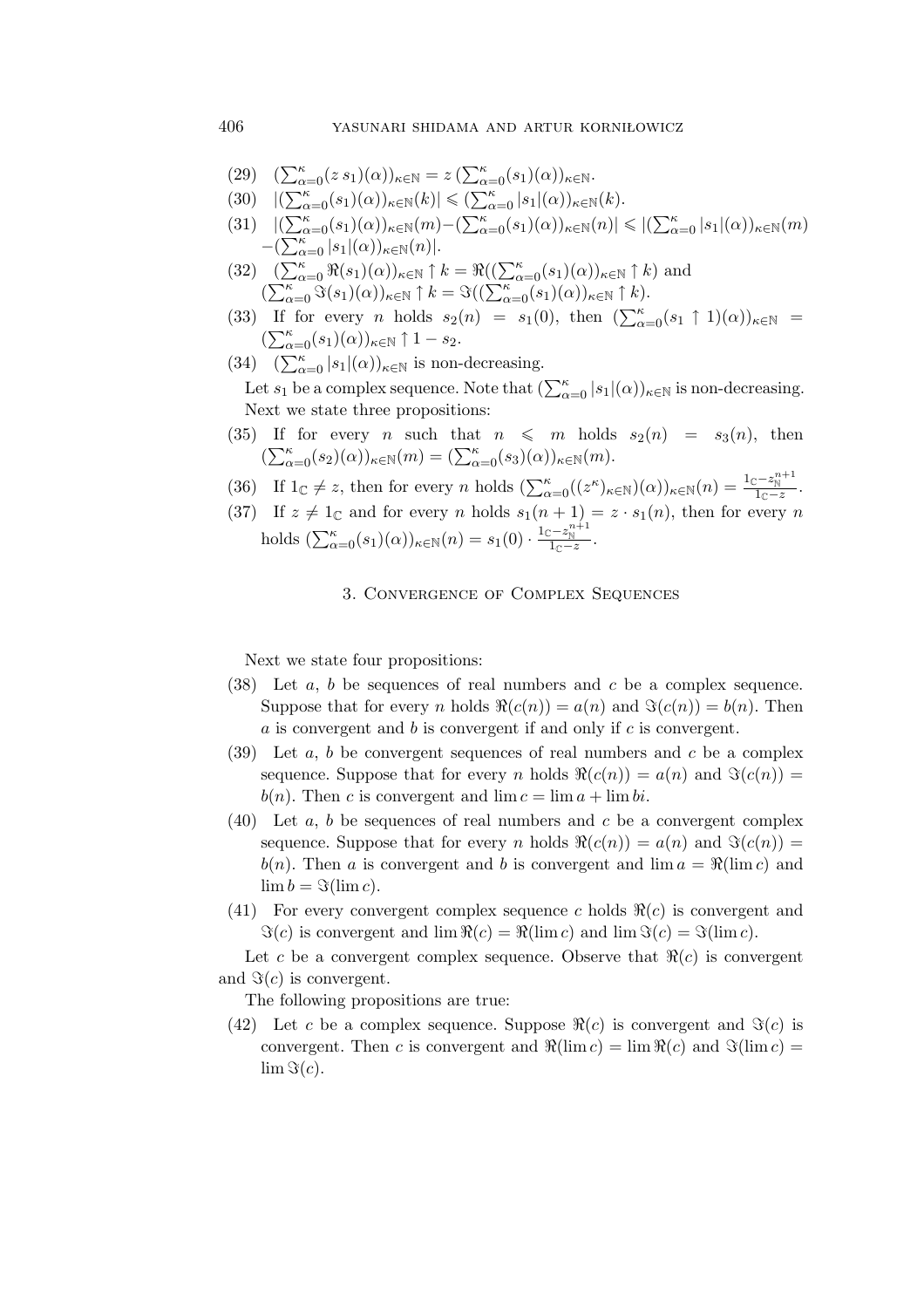- $(29)$  $\sum_{\alpha=0}^{\kappa} (z \, s_1)(\alpha)_{\kappa \in \mathbb{N}} = z \left( \sum_{\alpha=0}^{\kappa} (s_1)(\alpha) \right)_{\kappa \in \mathbb{N}}.$
- $(30)$   $|(\sum_{\alpha=0}^{\kappa} (s_1)(\alpha))_{\kappa \in \mathbb{N}}(k)| \leq (\sum_{\alpha=0}^{\kappa} |s_1|(\alpha))_{\kappa \in \mathbb{N}}(k).$
- $(31)$   $|(\sum_{\alpha=0}^{\kappa}(s_1)(\alpha))_{\kappa\in\mathbb{N}}(m)-(\sum_{\alpha=0}^{\kappa}(s_1)(\alpha))_{\kappa\in\mathbb{N}}(n)| \leqslant |(\sum_{\alpha=0}^{\kappa}|s_1|(\alpha))_{\kappa\in\mathbb{N}}(m)$  $-(\sum_{\alpha=0}^{\kappa} |s_1|(\alpha))_{\kappa \in \mathbb{N}}(n)|$ .
- $(32)$   $(\sum_{\alpha=0}^{\kappa} \Re(s_1)(\alpha))_{\kappa \in \mathbb{N}} \uparrow k = \Re((\sum_{\alpha=0}^{\kappa} (s_1)(\alpha))_{\kappa \in \mathbb{N}} \uparrow k)$  and  $(\sum_{\alpha=0}^{\kappa} \Im(s_1)(\alpha))_{\kappa \in \mathbb{N}} \uparrow k = \Im((\sum_{\alpha=0}^{\kappa} (s_1)(\alpha))_{\kappa \in \mathbb{N}} \uparrow k).$
- (33) If for every *n* holds  $s_2(n) = s_1(0)$ , then  $(\sum_{\alpha=0}^{\kappa} (s_1 \uparrow 1)(\alpha))_{\kappa \in \mathbb{N}}$  $(\sum_{\alpha=0}^{\kappa} (s_1)(\alpha))_{\kappa \in \mathbb{N}} \uparrow 1 - s_2.$
- (34)  $(\sum_{\alpha=0}^{\kappa} |s_1|(\alpha))_{\kappa \in \mathbb{N}}$  is non-decreasing.

Let  $s_1$  be a complex sequence. Note that  $(\sum_{\alpha=0}^{\kappa} |s_1|(\alpha))_{\kappa \in \mathbb{N}}$  is non-decreasing. Next we state three propositions:

- (35) If for every *n* such that  $n \leq m$  holds  $s_2(n) = s_3(n)$ , then  $\left(\sum_{\alpha=0}^{\kappa}(s_2)(\alpha)\right)_{\kappa\in\mathbb{N}}(m) = \left(\sum_{\alpha=0}^{\kappa}(s_3)(\alpha)\right)_{\kappa\in\mathbb{N}}(m).$
- (36) If  $1_{\mathbb{C}} \neq z$ , then for every n holds  $\left(\sum_{\alpha=0}^{\kappa} ((z^{\kappa})_{\kappa \in \mathbb{N}})(\alpha)\right)_{\kappa \in \mathbb{N}}(n) = \frac{1_{\mathbb{C}} z_{\mathbb{N}}^{n+1}}{1_{\mathbb{C}} z}$ .
- (37) If  $z \neq 1_{\mathbb{C}}$  and for every n holds  $s_1(n+1) = z \cdot s_1(n)$ , then for every n holds  $(\sum_{\alpha=0}^{\kappa} (s_1)(\alpha))_{\kappa \in \mathbb{N}} (n) = s_1(0) \cdot \frac{1_{\mathbb{C}} - z_{\mathbb{N}}^{n+1}}{1_{\mathbb{C}} - z}$ .

# 3. CONVERGENCE OF COMPLEX SEQUENCES

Next we state four propositions:

- (38) Let  $a, b$  be sequences of real numbers and  $c$  be a complex sequence. Suppose that for every *n* holds  $\Re(c(n)) = a(n)$  and  $\Im(c(n)) = b(n)$ . Then a is convergent and b is convergent if and only if c is convergent.
- (39) Let  $a, b$  be convergent sequences of real numbers and  $c$  be a complex sequence. Suppose that for every n holds  $\Re(c(n)) = a(n)$  and  $\Im(c(n)) =$  $b(n)$ . Then c is convergent and  $\lim c = \lim a + \lim bi$ .
- (40) Let  $a, b$  be sequences of real numbers and  $c$  be a convergent complex sequence. Suppose that for every n holds  $\Re(c(n)) = a(n)$  and  $\Im(c(n)) =$  $b(n)$ . Then a is convergent and b is convergent and  $\lim a = \Re(\lim c)$  and  $\lim b = \Im(\lim c).$
- (41) For every convergent complex sequence c holds  $\Re(c)$  is convergent and  $\Im(c)$  is convergent and  $\lim \Re(c) = \Re(\lim c)$  and  $\lim \Im(c) = \Im(\lim c)$ .

Let c be a convergent complex sequence. Observe that  $\Re(c)$  is convergent and  $\Im(c)$  is convergent.

The following propositions are true:

(42) Let c be a complex sequence. Suppose  $\Re(c)$  is convergent and  $\Im(c)$  is convergent. Then c is convergent and  $\Re(\lim c) = \lim \Re(c)$  and  $\Im(\lim c) =$  $\lim \Im(c)$ .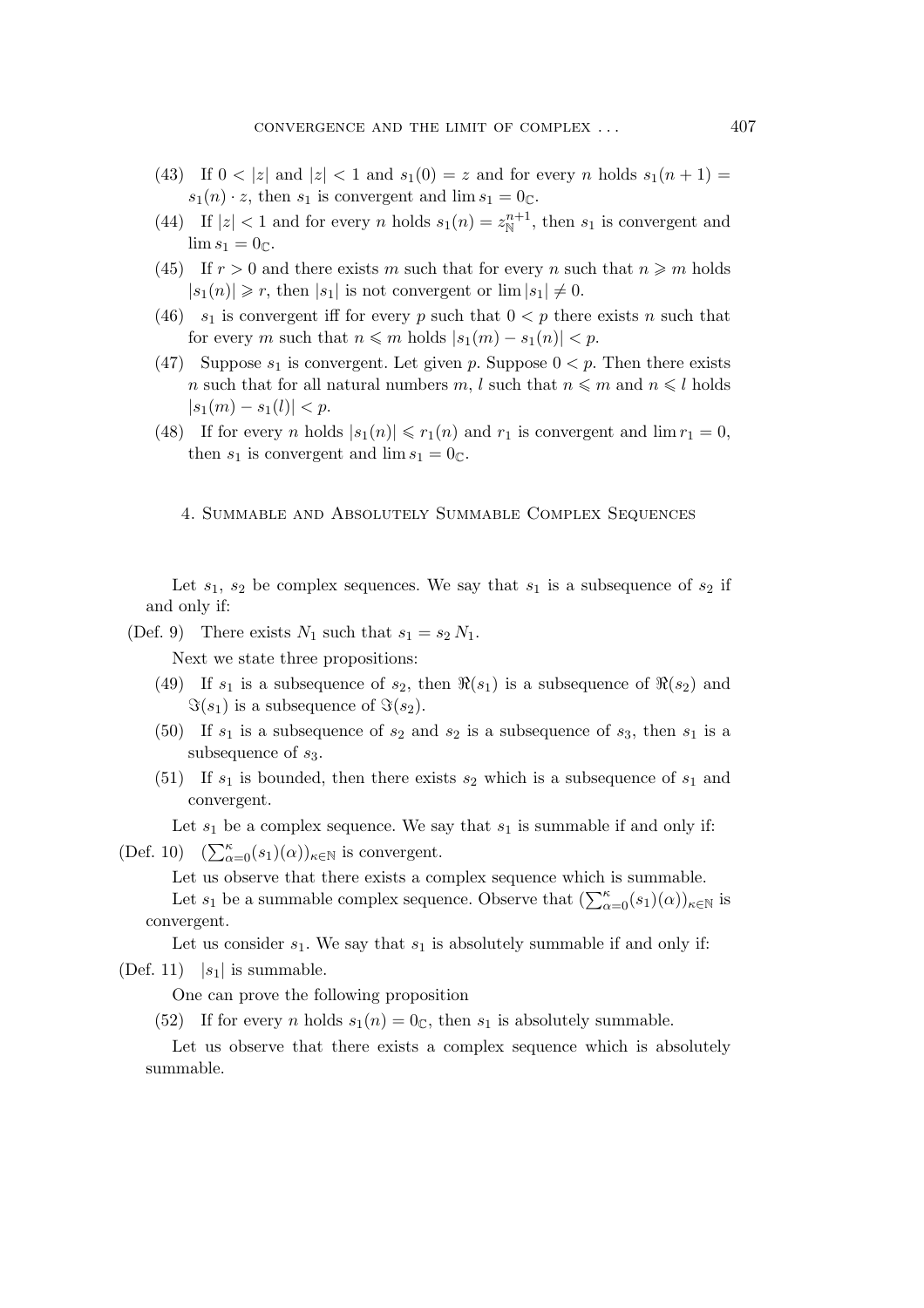- (43) If  $0 < |z|$  and  $|z| < 1$  and  $s_1(0) = z$  and for every n holds  $s_1(n + 1) =$  $s_1(n) \cdot z$ , then  $s_1$  is convergent and  $\lim s_1 = 0_{\mathbb{C}}$ .
- (44) If  $|z| < 1$  and for every *n* holds  $s_1(n) = z_{\mathbb{N}}^{n+1}$ , then  $s_1$  is convergent and  $\lim s_1 = 0_{\mathbb{C}}.$
- (45) If  $r > 0$  and there exists m such that for every n such that  $n \geq m$  holds  $|s_1(n)| \geq r$ , then  $|s_1|$  is not convergent or  $\lim |s_1| \neq 0$ .
- (46)  $s_1$  is convergent iff for every p such that  $0 < p$  there exists n such that for every m such that  $n \leq m$  holds  $|s_1(m) - s_1(n)| < p$ .
- (47) Suppose  $s_1$  is convergent. Let given p. Suppose  $0 < p$ . Then there exists n such that for all natural numbers m, l such that  $n \le m$  and  $n \le l$  holds  $|s_1(m) - s_1(l)| < p$ .
- (48) If for every *n* holds  $|s_1(n)| \le r_1(n)$  and  $r_1$  is convergent and  $\lim r_1 = 0$ , then  $s_1$  is convergent and  $\lim s_1 = 0_{\mathbb{C}}$ .
	- 4. Summable and Absolutely Summable Complex Sequences

Let  $s_1$ ,  $s_2$  be complex sequences. We say that  $s_1$  is a subsequence of  $s_2$  if and only if:

(Def. 9) There exists  $N_1$  such that  $s_1 = s_2 N_1$ .

Next we state three propositions:

- (49) If  $s_1$  is a subsequence of  $s_2$ , then  $\Re(s_1)$  is a subsequence of  $\Re(s_2)$  and  $\Im(s_1)$  is a subsequence of  $\Im(s_2)$ .
- (50) If  $s_1$  is a subsequence of  $s_2$  and  $s_2$  is a subsequence of  $s_3$ , then  $s_1$  is a subsequence of  $s_3$ .
- (51) If  $s_1$  is bounded, then there exists  $s_2$  which is a subsequence of  $s_1$  and convergent.

Let  $s_1$  be a complex sequence. We say that  $s_1$  is summable if and only if:

(Def. 10)  $(\sum_{\alpha=0}^{\kappa} (s_1)(\alpha))_{\kappa \in \mathbb{N}}$  is convergent.

Let us observe that there exists a complex sequence which is summable.

Let  $s_1$  be a summable complex sequence. Observe that  $(\sum_{\alpha=0}^{\kappa} (s_1)(\alpha))_{\kappa \in \mathbb{N}}$  is convergent.

Let us consider  $s_1$ . We say that  $s_1$  is absolutely summable if and only if:

 $(Def. 11)$  |s<sub>1</sub>| is summable.

One can prove the following proposition

(52) If for every *n* holds  $s_1(n) = 0$ <sub>C</sub>, then  $s_1$  is absolutely summable.

Let us observe that there exists a complex sequence which is absolutely summable.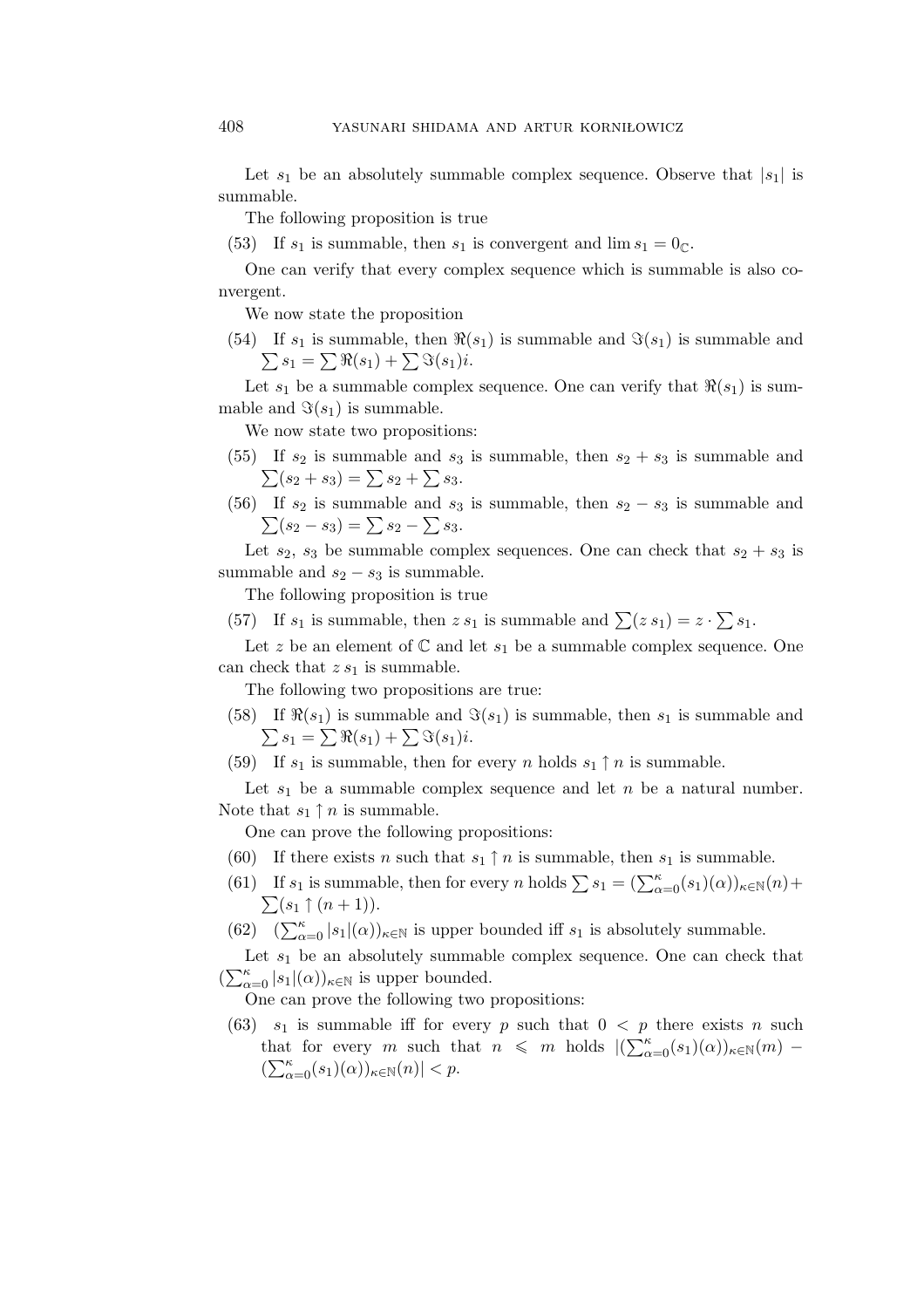Let  $s_1$  be an absolutely summable complex sequence. Observe that  $|s_1|$  is summable.

The following proposition is true

(53) If  $s_1$  is summable, then  $s_1$  is convergent and  $\lim s_1 = 0_{\mathbb{C}}$ .

One can verify that every complex sequence which is summable is also convergent.

We now state the proposition

(54) If  $s_1$  is summable, then  $\Re(s_1)$  is summable and  $\Im(s_1)$  is summable and  $\sum s_1 = \sum \Re(s_1) + \sum \Im(s_1)i.$ 

Let  $s_1$  be a summable complex sequence. One can verify that  $\Re(s_1)$  is summable and  $\Im(s_1)$  is summable.

We now state two propositions:

- (55) If  $s_2$  is summable and  $s_3$  is summable, then  $s_2 + s_3$  is summable and  $\sum(s_2 + s_3) = \sum s_2 + \sum s_3.$
- (56) If  $s_2$  is summable and  $s_3$  is summable, then  $s_2 s_3$  is summable and  $\sum(s_2 - s_3) = \sum s_2 - \sum s_3.$

Let  $s_2$ ,  $s_3$  be summable complex sequences. One can check that  $s_2 + s_3$  is summable and  $s_2 - s_3$  is summable.

The following proposition is true

(57) If  $s_1$  is summable, then  $z s_1$  is summable and  $\sum (z s_1) = z \cdot \sum s_1$ .

Let z be an element of  $\mathbb C$  and let  $s_1$  be a summable complex sequence. One can check that  $z s_1$  is summable.

The following two propositions are true:

- (58) If  $\Re(s_1)$  is summable and  $\Im(s_1)$  is summable, then  $s_1$  is summable and  $\sum s_1 = \sum \Re(s_1) + \sum \Im(s_1)i.$
- (59) If  $s_1$  is summable, then for every n holds  $s_1 \uparrow n$  is summable.

Let  $s_1$  be a summable complex sequence and let n be a natural number. Note that  $s_1 \uparrow n$  is summable.

One can prove the following propositions:

- (60) If there exists *n* such that  $s_1 \uparrow n$  is summable, then  $s_1$  is summable.
- (61) If  $s_1$  is summable, then for every n holds  $\sum s_1 = (\sum_{\alpha=0}^{\kappa} (s_1)(\alpha))_{\kappa \in \mathbb{N}} (n) +$  $\sum(s_1 \uparrow (n+1)).$
- (62)  $(\sum_{\alpha=0}^{\kappa} |s_1|(\alpha))_{\kappa \in \mathbb{N}}$  is upper bounded iff  $s_1$  is absolutely summable.

Let  $s_1$  be an absolutely summable complex sequence. One can check that  $\left(\sum_{\alpha=0}^{\kappa} |s_1|(\alpha)\right)_{\kappa \in \mathbb{N}}$  is upper bounded.

One can prove the following two propositions:

(63)  $s_1$  is summable iff for every p such that  $0 < p$  there exists n such that for every m such that  $n \leq m$  holds  $|(\sum_{\alpha=0}^{k} (s_1)(\alpha))_{\kappa \in \mathbb{N}}(m) \left(\sum_{\alpha=0}^{\kappa}(s_1)(\alpha)\right)_{\kappa\in\mathbb{N}}(n)| < p.$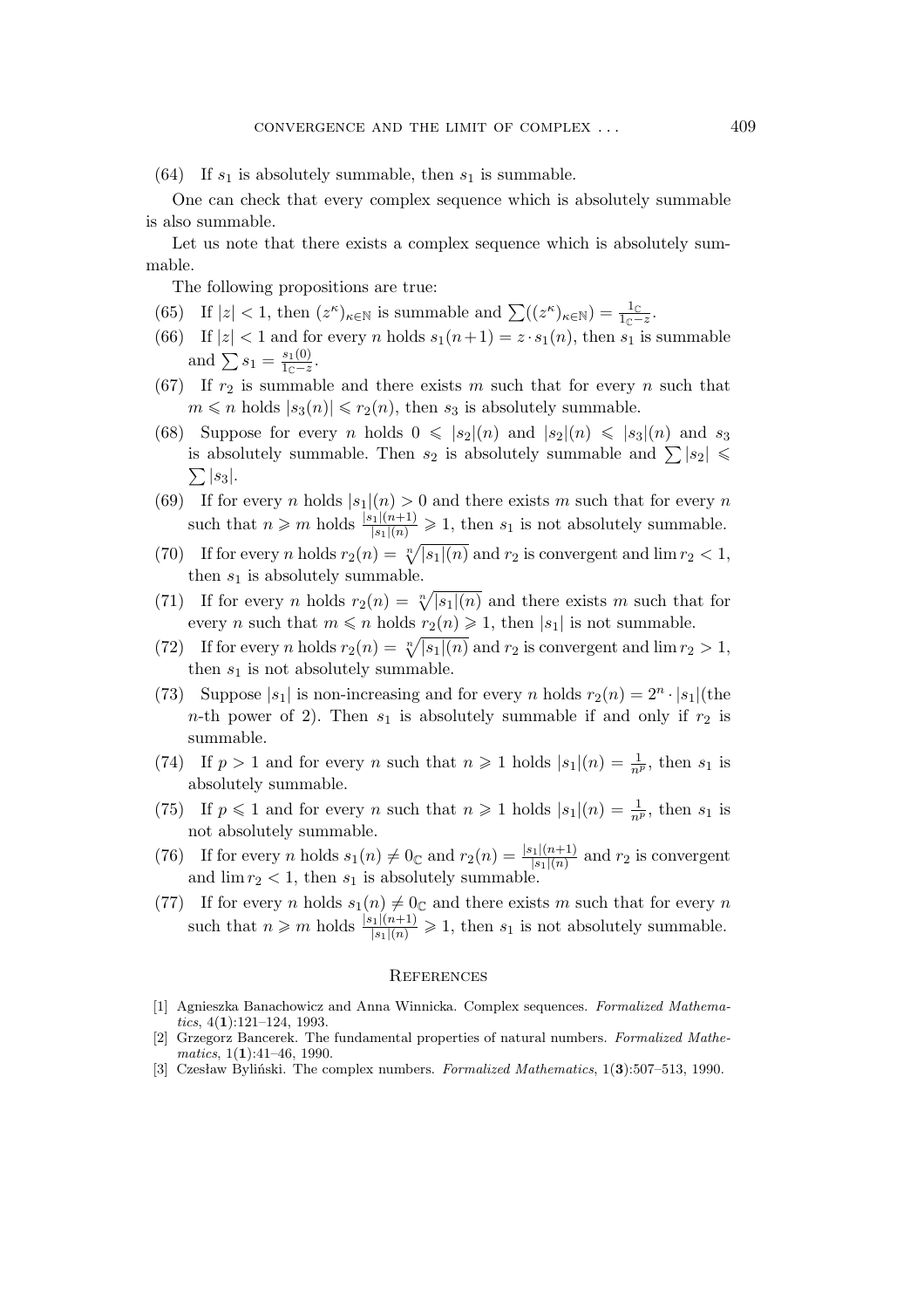(64) If  $s_1$  is absolutely summable, then  $s_1$  is summable.

One can check that every complex sequence which is absolutely summable is also summable.

Let us note that there exists a complex sequence which is absolutely summable.

The following propositions are true:

- (65) If  $|z| < 1$ , then  $(z^{\kappa})_{\kappa \in \mathbb{N}}$  is summable and  $\sum((z^{\kappa})_{\kappa \in \mathbb{N}}) = \frac{1_{\mathbb{C}}}{1_{\mathbb{C}} z}$ .
- (66) If  $|z| < 1$  and for every *n* holds  $s_1(n+1) = z \cdot s_1(n)$ , then  $s_1$  is summable and  $\sum s_1 = \frac{s_1(0)}{1 - z}$  $rac{s_1(0)}{1_{\mathbb{C}}-z}$ .
- (67) If  $r_2$  is summable and there exists m such that for every n such that  $m \leq n$  holds  $|s_3(n)| \leq r_2(n)$ , then  $s_3$  is absolutely summable.
- (68) Suppose for every *n* holds  $0 \leq |s_2|(n)$  and  $|s_2|(n) \leq |s_3|(n)$  and  $s_3$ is absolutely summable. Then  $s_2$  is absolutely summable and  $\sum |s_2| \leq$  $\sum |s_3|$ .
- (69) If for every n holds  $|s_1|(n) > 0$  and there exists m such that for every n such that  $n \geq m$  holds  $\frac{|s_1|(n+1)}{|s_1|(n)} \geq 1$ , then  $s_1$  is not absolutely summable.
- (70) If for every *n* holds  $r_2(n) = \sqrt[n]{|s_1|(n)}$  and  $r_2$  is convergent and  $\lim r_2 < 1$ , then  $s_1$  is absolutely summable.
- (71) If for every *n* holds  $r_2(n) = \sqrt[n]{|s_1|(n)}$  and there exists *m* such that for every *n* such that  $m \le n$  holds  $r_2(n) \ge 1$ , then  $|s_1|$  is not summable.
- (72) If for every *n* holds  $r_2(n) = \sqrt[n]{|s_1|(n)}$  and  $r_2$  is convergent and  $\lim r_2 > 1$ , then  $s_1$  is not absolutely summable.
- (73) Suppose  $|s_1|$  is non-increasing and for every *n* holds  $r_2(n) = 2^n \cdot |s_1|$  (the *n*-th power of 2). Then  $s_1$  is absolutely summable if and only if  $r_2$  is summable.
- (74) If  $p > 1$  and for every n such that  $n \ge 1$  holds  $|s_1|(n) = \frac{1}{n^p}$ , then  $s_1$  is absolutely summable.
- (75) If  $p \leq 1$  and for every *n* such that  $n \geq 1$  holds  $|s_1|(n) = \frac{1}{n^p}$ , then  $s_1$  is not absolutely summable.
- (76) If for every *n* holds  $s_1(n) \neq 0_{\mathbb{C}}$  and  $r_2(n) = \frac{|s_1|(n+1)}{|s_1|(n)}$  and  $r_2$  is convergent and  $\lim r_2 < 1$ , then  $s_1$  is absolutely summable
- (77) If for every *n* holds  $s_1(n) \neq 0$  and there exists *m* such that for every *n* such that  $n \geq m$  holds  $\frac{|s_1|(n+1)}{|s_1|(n)} \geq 1$ , then  $s_1$  is not absolutely summable.

#### **REFERENCES**

- [1] Agnieszka Banachowicz and Anna Winnicka. Complex sequences. *Formalized Mathematics*, 4(**1**):121–124, 1993.
- [2] Grzegorz Bancerek. The fundamental properties of natural numbers. *Formalized Mathematics*, 1(**1**):41–46, 1990.
- [3] Czesław Byliński. The complex numbers. *Formalized Mathematics*, 1(**3**):507–513, 1990.